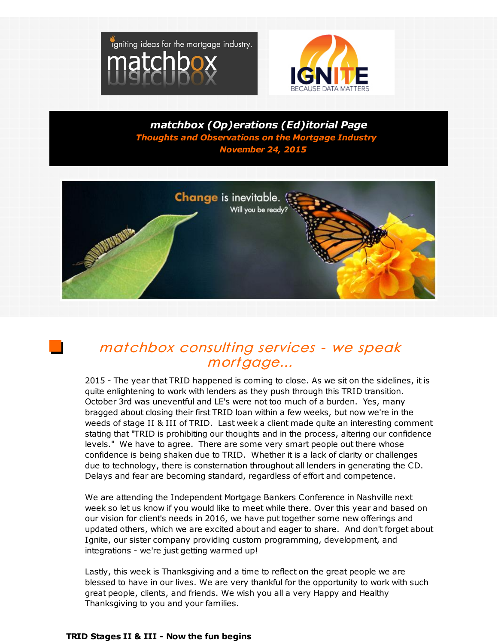



*matchbox (Op)erations (Ed)itorial Page Thoughts and Observations on the Mortgage Industry November 24, 2015*



## matchbox consulting services - we speak mortgage...

2015 - The year that TRID happened is coming to close. As we sit on the sidelines, it is quite enlightening to work with lenders as they push through this TRID transition. October 3rd was uneventful and LE's were not too much of a burden. Yes, many bragged about closing their first TRID loan within a few weeks, but now we're in the weeds of stage II & III of TRID. Last week a client made quite an interesting comment stating that "TRID is prohibiting our thoughts and in the process, altering our confidence levels." We have to agree. There are some very smart people out there whose confidence is being shaken due to TRID. Whether it is a lack of clarity or challenges due to technology, there is consternation throughout all lenders in generating the CD. Delays and fear are becoming standard, regardless of effort and competence.

We are attending the Independent Mortgage Bankers Conference in Nashville next week so let us know if you would like to meet while there. Over this year and based on our vision for client's needs in 2016, we have put together some new offerings and updated others, which we are excited about and eager to share. And don't forget about Ignite, our sister company providing custom programming, development, and integrations - we're just getting warmed up!

Lastly, this week is Thanksgiving and a time to reflect on the great people we are blessed to have in our lives. We are very thankful for the opportunity to work with such great people, clients, and friends. We wish you all a very Happy and Healthy Thanksgiving to you and your families.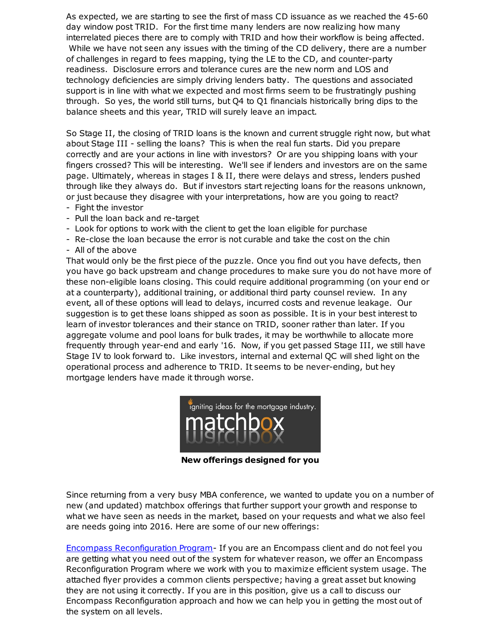As expected, we are starting to see the first of mass CD issuance as we reached the 45-60 day window post TRID. For the first time many lenders are now realizing how many interrelated pieces there are to comply with TRID and how their workflow is being affected. While we have not seen any issues with the timing of the CD delivery, there are a number of challenges in regard to fees mapping, tying the LE to the CD, and counter-party readiness. Disclosure errors and tolerance cures are the new norm and LOS and technology deficiencies are simply driving lenders batty. The questions and associated support is in line with what we expected and most firms seem to be frustratingly pushing through. So yes, the world still turns, but Q4 to Q1 financials historically bring dips to the balance sheets and this year, TRID will surely leave an impact.

So Stage II, the closing of TRID loans is the known and current struggle right now, but what about Stage III - selling the loans? This is when the real fun starts. Did you prepare correctly and are your actions in line with investors? Or are you shipping loans with your fingers crossed? This will be interesting. We'll see if lenders and investors are on the same page. Ultimately, whereas in stages I & II, there were delays and stress, lenders pushed through like they always do. But if investors start rejecting loans for the reasons unknown, or just because they disagree with your interpretations, how are you going to react?

- Fight the investor
- Pull the loan back and re-target
- Look for options to work with the client to get the loan eligible for purchase
- Re-close the loan because the error is not curable and take the cost on the chin
- All of the above

That would only be the first piece of the puzzle. Once you find out you have defects, then you have go back upstream and change procedures to make sure you do not have more of these non-eligible loans closing. This could require additional programming (on your end or at a counterparty), additional training, or additional third party counsel review. In any event, all of these options will lead to delays, incurred costs and revenue leakage. Our suggestion is to get these loans shipped as soon as possible. It is in your best interest to learn of investor tolerances and their stance on TRID, sooner rather than later. If you aggregate volume and pool loans for bulk trades, it may be worthwhile to allocate more frequently through year-end and early '16. Now, if you get passed Stage III, we still have Stage IV to look forward to. Like investors, internal and external QC will shed light on the operational process and adherence to TRID. It seems to be never-ending, but hey mortgage lenders have made it through worse.



**New offerings designed for you**

Since returning from a very busy MBA conference, we wanted to update you on a number of new (and updated) matchbox offerings that further support your growth and response to what we have seen as needs in the market, based on your requests and what we also feel are needs going into 2016. Here are some of our new offerings:

Encompass [Reconfiguration](http://r20.rs6.net/tn.jsp?f=0019G47qhJDbBxqecIRFxhdiIEyilyHtNoeXh0WWCPDqck6nqLwUxui9fZP2pmmeu-Hyj73koOzjdiB8K3pNIveN_5eUJtwj3b4VHRtOFQ8A2C0zRlcF_A8ZzpRUTG4dm0uPwyqVKPOV4hh7LELF-aT0zBWsCbKu83b0-dC-9_8dC1eH-bamxqPsm5njWa-ENJqgebT28B0r5XQ7FRkLPMhtBRVu6JGDkbj6M_yM1ClA61SVfOLl0Ctdw==&c=&ch=) Program- If you are an Encompass client and do not feel you are getting what you need out of the system for whatever reason, we offer an Encompass Reconfiguration Program where we work with you to maximize efficient system usage. The attached flyer provides a common clients perspective; having a great asset but knowing they are not using it correctly. If you are in this position, give us a call to discuss our Encompass Reconfiguration approach and how we can help you in getting the most out of the system on all levels.